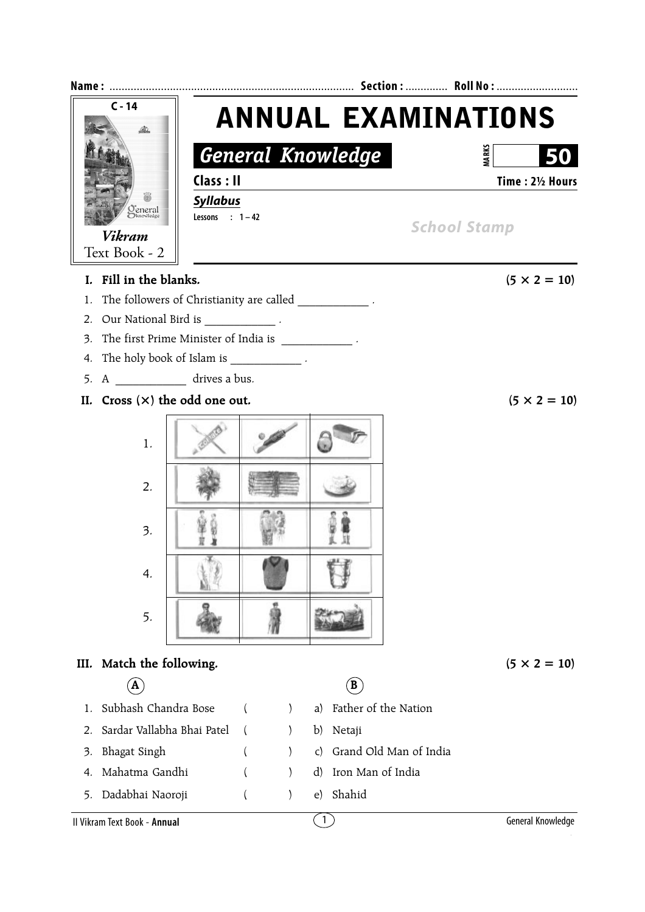